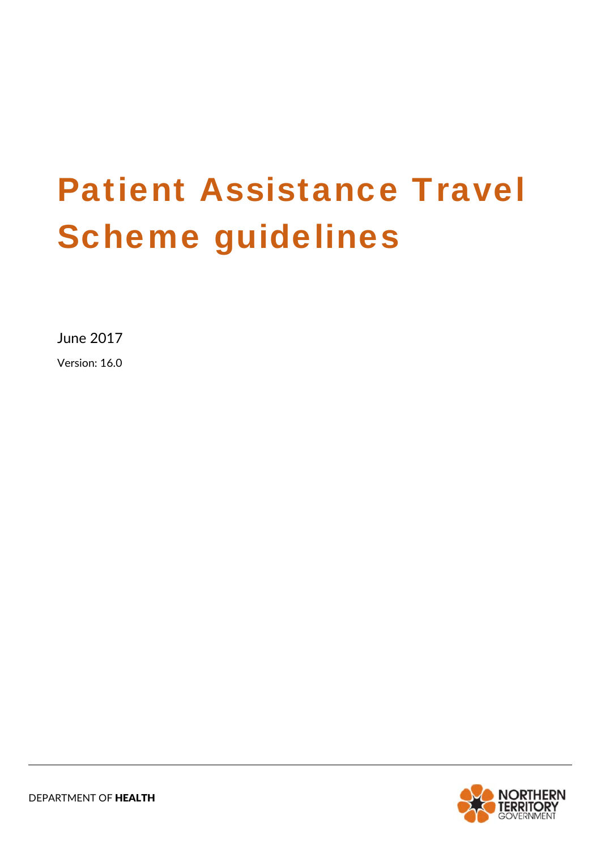# Patient Assistance Travel Scheme guidelines

June 2017

Version: 16.0

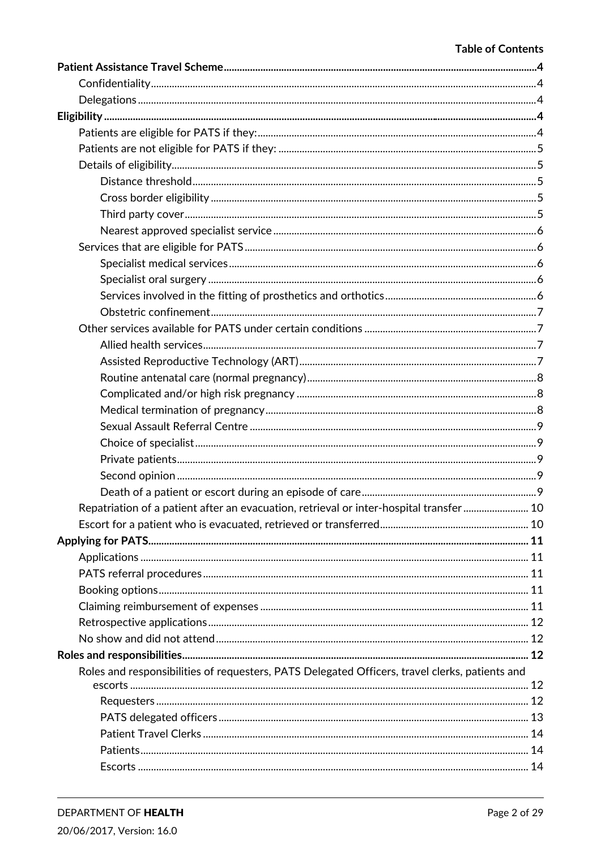#### **Table of Contents**

| Repatriation of a patient after an evacuation, retrieval or inter-hospital transfer 10         |  |
|------------------------------------------------------------------------------------------------|--|
|                                                                                                |  |
|                                                                                                |  |
|                                                                                                |  |
|                                                                                                |  |
|                                                                                                |  |
|                                                                                                |  |
|                                                                                                |  |
|                                                                                                |  |
|                                                                                                |  |
| Roles and responsibilities of requesters, PATS Delegated Officers, travel clerks, patients and |  |
|                                                                                                |  |
|                                                                                                |  |
|                                                                                                |  |
|                                                                                                |  |
|                                                                                                |  |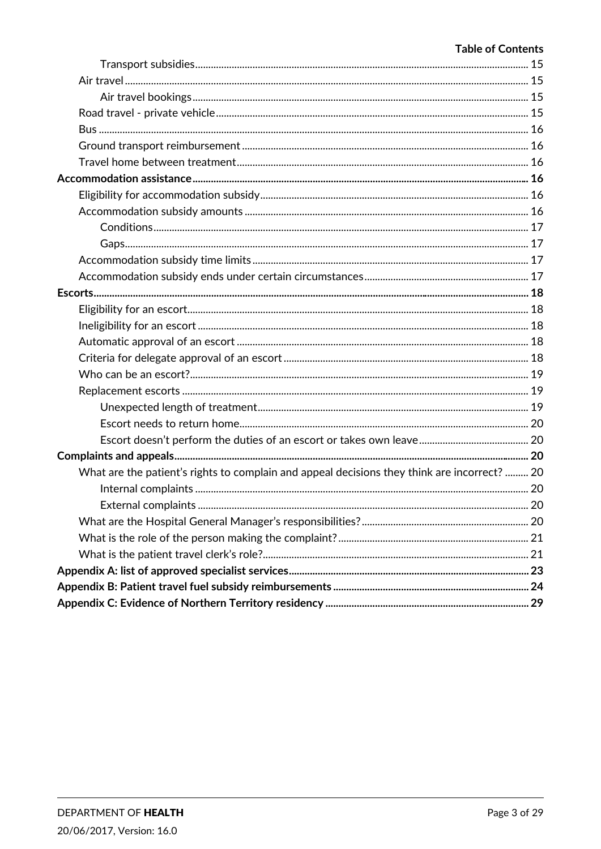#### **Table of Contents**

| What are the patient's rights to complain and appeal decisions they think are incorrect?  20 |  |
|----------------------------------------------------------------------------------------------|--|
|                                                                                              |  |
|                                                                                              |  |
|                                                                                              |  |
|                                                                                              |  |
|                                                                                              |  |
|                                                                                              |  |
|                                                                                              |  |
|                                                                                              |  |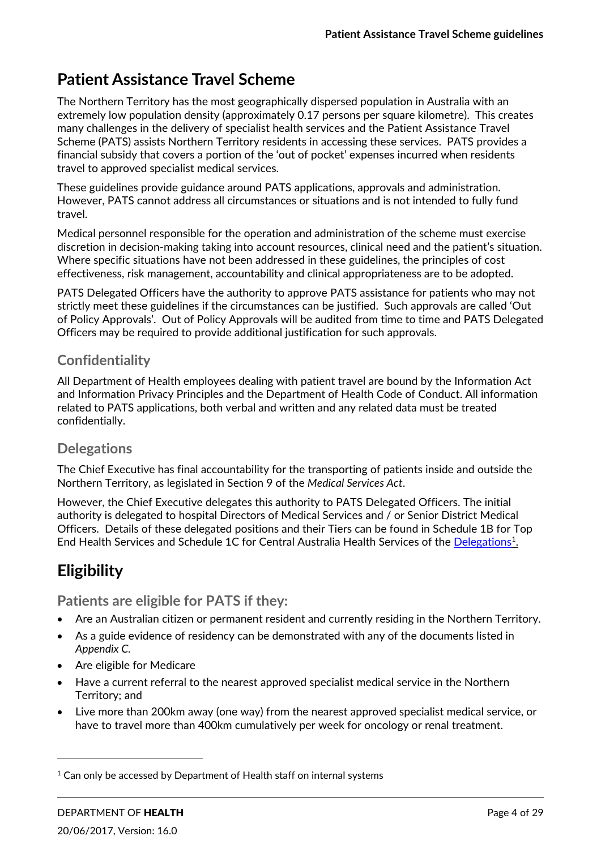# **Patient Assistance Travel Scheme**

The Northern Territory has the most geographically dispersed population in Australia with an extremely low population density (approximately 0.17 persons per square kilometre). This creates many challenges in the delivery of specialist health services and the Patient Assistance Travel Scheme (PATS) assists Northern Territory residents in accessing these services. PATS provides a financial subsidy that covers a portion of the 'out of pocket' expenses incurred when residents travel to approved specialist medical services.

These guidelines provide guidance around PATS applications, approvals and administration. However, PATS cannot address all circumstances or situations and is not intended to fully fund travel.

Medical personnel responsible for the operation and administration of the scheme must exercise discretion in decision‐making taking into account resources, clinical need and the patient's situation. Where specific situations have not been addressed in these guidelines, the principles of cost effectiveness, risk management, accountability and clinical appropriateness are to be adopted.

PATS Delegated Officers have the authority to approve PATS assistance for patients who may not strictly meet these guidelines if the circumstances can be justified. Such approvals are called 'Out of Policy Approvals'. Out of Policy Approvals will be audited from time to time and PATS Delegated Officers may be required to provide additional justification for such approvals.

# **Confidentiality**

All Department of Health employees dealing with patient travel are bound by the Information Act and Information Privacy Principles and the Department of Health Code of Conduct. All information related to PATS applications, both verbal and written and any related data must be treated confidentially.

## **Delegations**

The Chief Executive has final accountability for the transporting of patients inside and outside the Northern Territory, as legislated in Section 9 of the *Medical Services Act*.

However, the Chief Executive delegates this authority to PATS Delegated Officers. The initial authority is delegated to hospital Directors of Medical Services and / or Senior District Medical Officers. Details of these delegated positions and their Tiers can be found in Schedule 1B for Top End Health Services and Schedule 1C for Central Australia Health Services of the Delegations<sup>1</sup>.

# **Eligibility**

**Patients are eligible for PATS if they:**

- Are an Australian citizen or permanent resident and currently residing in the Northern Territory.
- As a guide evidence of residency can be demonstrated with any of the documents listed in *Appendix C.*
- Are eligible for Medicare

<u> 1989 - Jan Samuel Barbara, político establecido de la provincia de la provincia de la provincia de la provinci</u>

- Have a current referral to the nearest approved specialist medical service in the Northern Territory; and
- Live more than 200km away (one way) from the nearest approved specialist medical service, or have to travel more than 400km cumulatively per week for oncology or renal treatment.

 $1$  Can only be accessed by Department of Health staff on internal systems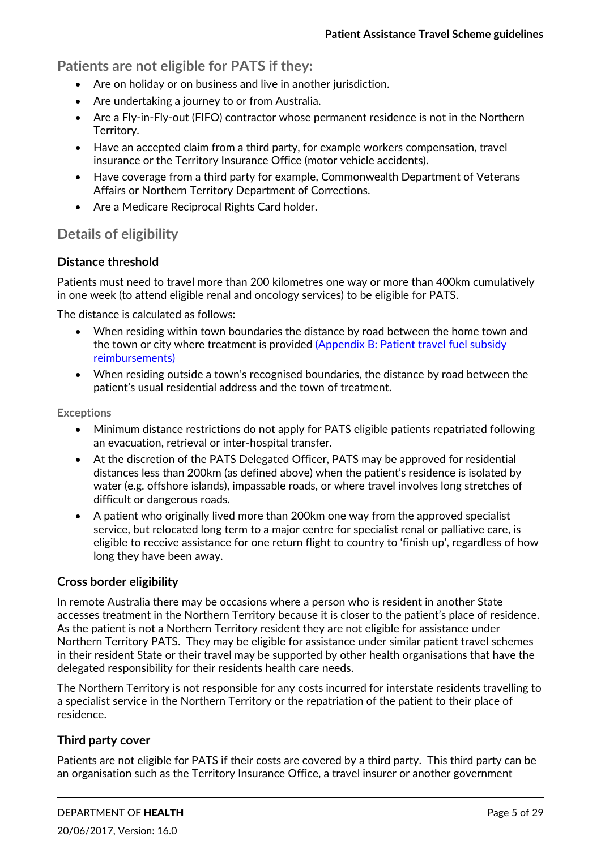**Patients are not eligible for PATS if they:**

- Are on holiday or on business and live in another jurisdiction.
- Are undertaking a journey to or from Australia.
- Are a Fly-in-Fly-out (FIFO) contractor whose permanent residence is not in the Northern Territory.
- Have an accepted claim from a third party, for example workers compensation, travel insurance or the Territory Insurance Office (motor vehicle accidents).
- Have coverage from a third party for example, Commonwealth Department of Veterans Affairs or Northern Territory Department of Corrections.
- Are a Medicare Reciprocal Rights Card holder.

# **Details of eligibility**

#### **Distance threshold**

Patients must need to travel more than 200 kilometres one way or more than 400km cumulatively in one week (to attend eligible renal and oncology services) to be eligible for PATS.

The distance is calculated as follows:

- When residing within town boundaries the distance by road between the home town and the town or city where treatment is provided (Appendix B: Patient travel fuel subsidy reimbursements)
- When residing outside a town's recognised boundaries, the distance by road between the patient's usual residential address and the town of treatment.

**Exceptions**

- Minimum distance restrictions do not apply for PATS eligible patients repatriated following an evacuation, retrieval or inter‐hospital transfer.
- At the discretion of the PATS Delegated Officer, PATS may be approved for residential distances less than 200km (as defined above) when the patient's residence is isolated by water (e.g. offshore islands), impassable roads, or where travel involves long stretches of difficult or dangerous roads.
- A patient who originally lived more than 200km one way from the approved specialist service, but relocated long term to a major centre for specialist renal or palliative care, is eligible to receive assistance for one return flight to country to 'finish up', regardless of how long they have been away.

#### **Cross border eligibility**

In remote Australia there may be occasions where a person who is resident in another State accesses treatment in the Northern Territory because it is closer to the patient's place of residence. As the patient is not a Northern Territory resident they are not eligible for assistance under Northern Territory PATS. They may be eligible for assistance under similar patient travel schemes in their resident State or their travel may be supported by other health organisations that have the delegated responsibility for their residents health care needs.

The Northern Territory is not responsible for any costs incurred for interstate residents travelling to a specialist service in the Northern Territory or the repatriation of the patient to their place of residence.

#### **Third party cover**

Patients are not eligible for PATS if their costs are covered by a third party. This third party can be an organisation such as the Territory Insurance Office, a travel insurer or another government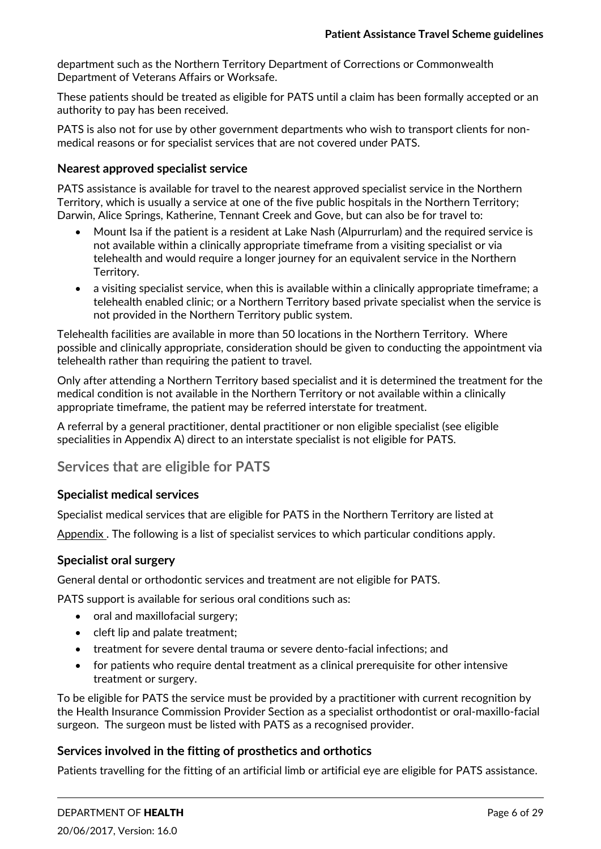department such as the Northern Territory Department of Corrections or Commonwealth Department of Veterans Affairs or Worksafe.

These patients should be treated as eligible for PATS until a claim has been formally accepted or an authority to pay has been received.

PATS is also not for use by other government departments who wish to transport clients for non‐ medical reasons or for specialist services that are not covered under PATS.

#### **Nearest approved specialist service**

PATS assistance is available for travel to the nearest approved specialist service in the Northern Territory, which is usually a service at one of the five public hospitals in the Northern Territory; Darwin, Alice Springs, Katherine, Tennant Creek and Gove, but can also be for travel to:

- Mount Isa if the patient is a resident at Lake Nash (Alpurrurlam) and the required service is not available within a clinically appropriate timeframe from a visiting specialist or via telehealth and would require a longer journey for an equivalent service in the Northern Territory.
- a visiting specialist service, when this is available within a clinically appropriate timeframe; a telehealth enabled clinic; or a Northern Territory based private specialist when the service is not provided in the Northern Territory public system.

Telehealth facilities are available in more than 50 locations in the Northern Territory. Where possible and clinically appropriate, consideration should be given to conducting the appointment via telehealth rather than requiring the patient to travel.

Only after attending a Northern Territory based specialist and it is determined the treatment for the medical condition is not available in the Northern Territory or not available within a clinically appropriate timeframe, the patient may be referred interstate for treatment.

A referral by a general practitioner, dental practitioner or non eligible specialist (see eligible specialities in Appendix A) direct to an interstate specialist is not eligible for PATS.

## **Services that are eligible for PATS**

#### **Specialist medical services**

Specialist medical services that are eligible for PATS in the Northern Territory are listed at

Appendix . The following is a list of specialist services to which particular conditions apply.

#### **Specialist oral surgery**

General dental or orthodontic services and treatment are not eligible for PATS.

PATS support is available for serious oral conditions such as:

- oral and maxillofacial surgery;
- cleft lip and palate treatment;
- treatment for severe dental trauma or severe dento-facial infections; and
- for patients who require dental treatment as a clinical prerequisite for other intensive treatment or surgery.

To be eligible for PATS the service must be provided by a practitioner with current recognition by the Health Insurance Commission Provider Section as a specialist orthodontist or oral‐maxillo‐facial surgeon. The surgeon must be listed with PATS as a recognised provider.

#### **Services involved in the fitting of prosthetics and orthotics**

Patients travelling for the fitting of an artificial limb or artificial eye are eligible for PATS assistance.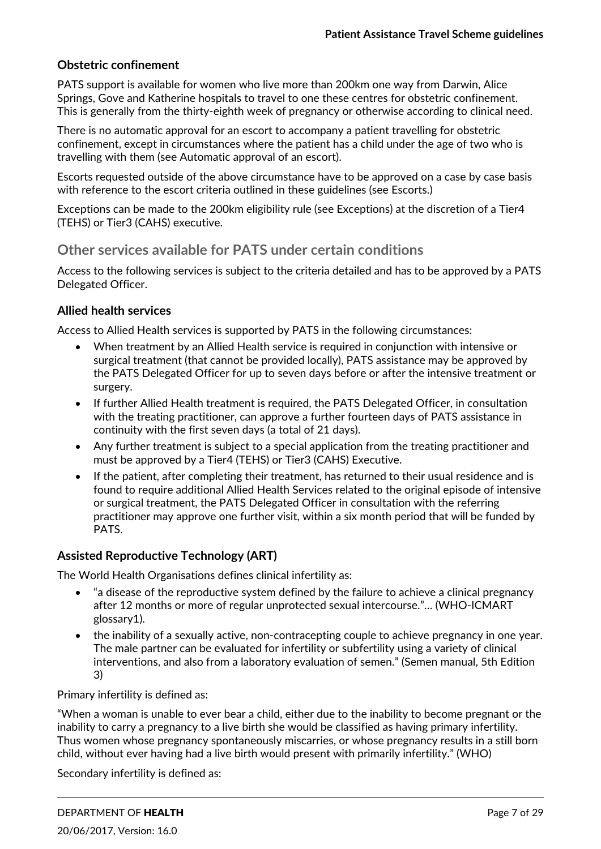#### **Obstetric confinement**

PATS support is available for women who live more than 200km one way from Darwin, Alice Springs, Gove and Katherine hospitals to travel to one these centres for obstetric confinement. This is generally from the thirty-eighth week of pregnancy or otherwise according to clinical need.

There is no automatic approval for an escort to accompany a patient travelling for obstetric confinement, except in circumstances where the patient has a child under the age of two who is travelling with them (see Automatic approval of an escort).

Escorts requested outside of the above circumstance have to be approved on a case by case basis with reference to the escort criteria outlined in these guidelines (see Escorts.)

Exceptions can be made to the 200km eligibility rule (see Exceptions) at the discretion of a Tier4 (TEHS) or Tier3 (CAHS) executive.

## **Other services available for PATS under certain conditions**

Access to the following services is subject to the criteria detailed and has to be approved by a PATS Delegated Officer.

#### **Allied health services**

Access to Allied Health services is supported by PATS in the following circumstances:

- When treatment by an Allied Health service is required in conjunction with intensive or surgical treatment (that cannot be provided locally), PATS assistance may be approved by the PATS Delegated Officer for up to seven days before or after the intensive treatment or surgery.
- If further Allied Health treatment is required, the PATS Delegated Officer, in consultation with the treating practitioner, can approve a further fourteen days of PATS assistance in continuity with the first seven days (a total of 21 days).
- Any further treatment is subject to a special application from the treating practitioner and must be approved by a Tier4 (TEHS) or Tier3 (CAHS) Executive.
- If the patient, after completing their treatment, has returned to their usual residence and is found to require additional Allied Health Services related to the original episode of intensive or surgical treatment, the PATS Delegated Officer in consultation with the referring practitioner may approve one further visit, within a six month period that will be funded by PATS.

## **Assisted Reproductive Technology (ART)**

The World Health Organisations defines clinical infertility as:

- "a disease of the reproductive system defined by the failure to achieve a clinical pregnancy after 12 months or more of regular unprotected sexual intercourse."… (WHO‐ICMART glossary1).
- the inability of a sexually active, non-contracepting couple to achieve pregnancy in one year. The male partner can be evaluated for infertility or subfertility using a variety of clinical interventions, and also from a laboratory evaluation of semen." (Semen manual, 5th Edition 3)

Primary infertility is defined as:

"When a woman is unable to ever bear a child, either due to the inability to become pregnant or the inability to carry a pregnancy to a live birth she would be classified as having primary infertility. Thus women whose pregnancy spontaneously miscarries, or whose pregnancy results in a still born child, without ever having had a live birth would present with primarily infertility." (WHO)

Secondary infertility is defined as: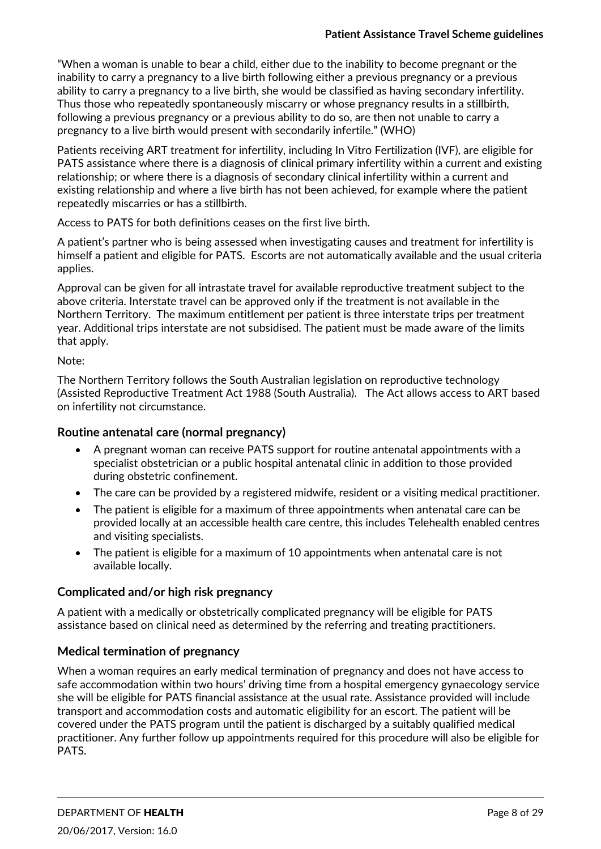"When a woman is unable to bear a child, either due to the inability to become pregnant or the inability to carry a pregnancy to a live birth following either a previous pregnancy or a previous ability to carry a pregnancy to a live birth, she would be classified as having secondary infertility. Thus those who repeatedly spontaneously miscarry or whose pregnancy results in a stillbirth, following a previous pregnancy or a previous ability to do so, are then not unable to carry a pregnancy to a live birth would present with secondarily infertile." (WHO)

Patients receiving ART treatment for infertility, including In Vitro Fertilization (IVF), are eligible for PATS assistance where there is a diagnosis of clinical primary infertility within a current and existing relationship; or where there is a diagnosis of secondary clinical infertility within a current and existing relationship and where a live birth has not been achieved, for example where the patient repeatedly miscarries or has a stillbirth.

Access to PATS for both definitions ceases on the first live birth.

A patient's partner who is being assessed when investigating causes and treatment for infertility is himself a patient and eligible for PATS. Escorts are not automatically available and the usual criteria applies.

Approval can be given for all intrastate travel for available reproductive treatment subject to the above criteria. Interstate travel can be approved only if the treatment is not available in the Northern Territory. The maximum entitlement per patient is three interstate trips per treatment year. Additional trips interstate are not subsidised. The patient must be made aware of the limits that apply.

#### Note:

The Northern Territory follows the South Australian legislation on reproductive technology (Assisted Reproductive Treatment Act 1988 (South Australia). The Act allows access to ART based on infertility not circumstance.

#### **Routine antenatal care (normal pregnancy)**

- A pregnant woman can receive PATS support for routine antenatal appointments with a specialist obstetrician or a public hospital antenatal clinic in addition to those provided during obstetric confinement.
- The care can be provided by a registered midwife, resident or a visiting medical practitioner.
- The patient is eligible for a maximum of three appointments when antenatal care can be provided locally at an accessible health care centre, this includes Telehealth enabled centres and visiting specialists.
- The patient is eligible for a maximum of 10 appointments when antenatal care is not available locally.

#### **Complicated and/or high risk pregnancy**

A patient with a medically or obstetrically complicated pregnancy will be eligible for PATS assistance based on clinical need as determined by the referring and treating practitioners.

#### **Medical termination of pregnancy**

When a woman requires an early medical termination of pregnancy and does not have access to safe accommodation within two hours' driving time from a hospital emergency gynaecology service she will be eligible for PATS financial assistance at the usual rate. Assistance provided will include transport and accommodation costs and automatic eligibility for an escort. The patient will be covered under the PATS program until the patient is discharged by a suitably qualified medical practitioner. Any further follow up appointments required for this procedure will also be eligible for PATS.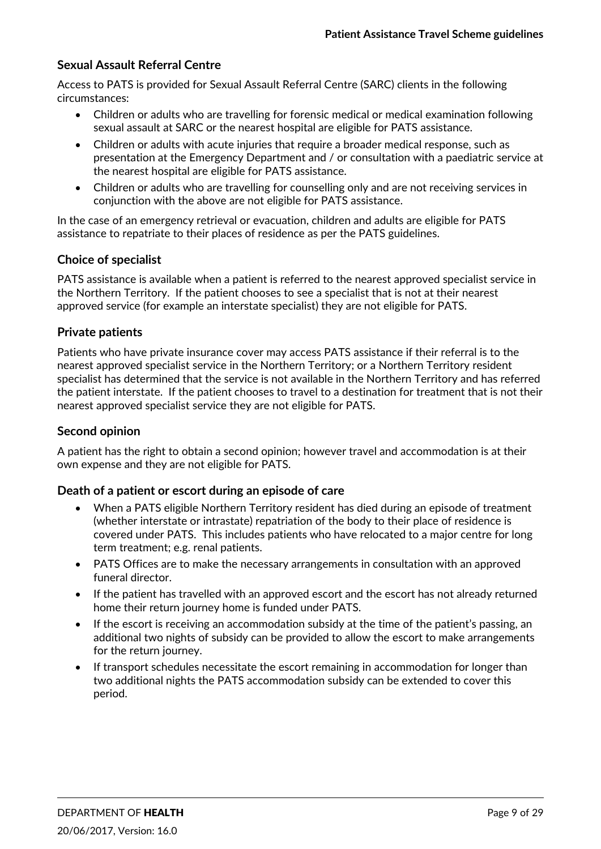#### **Sexual Assault Referral Centre**

Access to PATS is provided for Sexual Assault Referral Centre (SARC) clients in the following circumstances:

- Children or adults who are travelling for forensic medical or medical examination following sexual assault at SARC or the nearest hospital are eligible for PATS assistance.
- Children or adults with acute injuries that require a broader medical response, such as presentation at the Emergency Department and / or consultation with a paediatric service at the nearest hospital are eligible for PATS assistance.
- Children or adults who are travelling for counselling only and are not receiving services in conjunction with the above are not eligible for PATS assistance.

In the case of an emergency retrieval or evacuation, children and adults are eligible for PATS assistance to repatriate to their places of residence as per the PATS guidelines.

#### **Choice of specialist**

PATS assistance is available when a patient is referred to the nearest approved specialist service in the Northern Territory. If the patient chooses to see a specialist that is not at their nearest approved service (for example an interstate specialist) they are not eligible for PATS.

#### **Private patients**

Patients who have private insurance cover may access PATS assistance if their referral is to the nearest approved specialist service in the Northern Territory; or a Northern Territory resident specialist has determined that the service is not available in the Northern Territory and has referred the patient interstate. If the patient chooses to travel to a destination for treatment that is not their nearest approved specialist service they are not eligible for PATS.

#### **Second opinion**

A patient has the right to obtain a second opinion; however travel and accommodation is at their own expense and they are not eligible for PATS.

#### **Death of a patient or escort during an episode of care**

- When a PATS eligible Northern Territory resident has died during an episode of treatment (whether interstate or intrastate) repatriation of the body to their place of residence is covered under PATS. This includes patients who have relocated to a major centre for long term treatment; e.g. renal patients.
- PATS Offices are to make the necessary arrangements in consultation with an approved funeral director.
- If the patient has travelled with an approved escort and the escort has not already returned home their return journey home is funded under PATS.
- If the escort is receiving an accommodation subsidy at the time of the patient's passing, an additional two nights of subsidy can be provided to allow the escort to make arrangements for the return journey.
- If transport schedules necessitate the escort remaining in accommodation for longer than two additional nights the PATS accommodation subsidy can be extended to cover this period.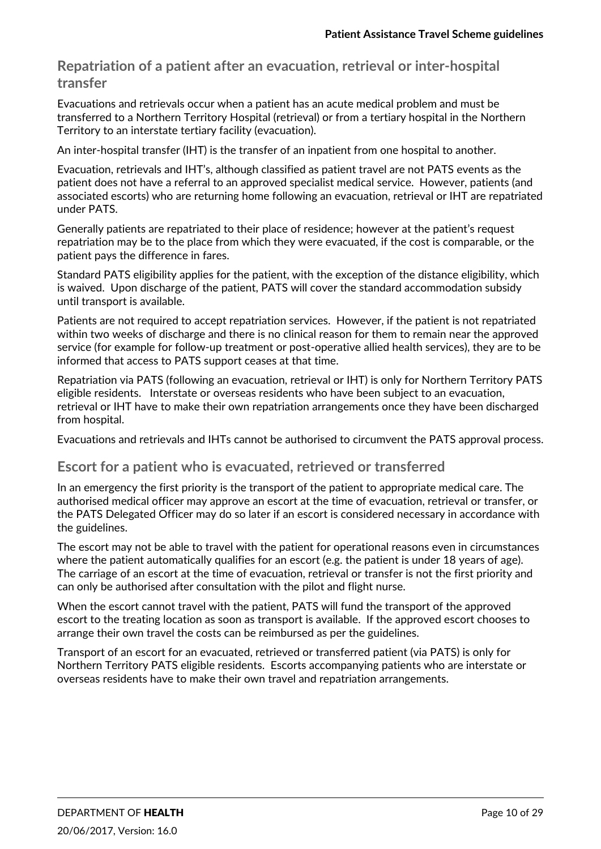**Repatriation of a patient after an evacuation, retrieval or inter‐hospital transfer**

Evacuations and retrievals occur when a patient has an acute medical problem and must be transferred to a Northern Territory Hospital (retrieval) or from a tertiary hospital in the Northern Territory to an interstate tertiary facility (evacuation).

An inter-hospital transfer (IHT) is the transfer of an inpatient from one hospital to another.

Evacuation, retrievals and IHT's, although classified as patient travel are not PATS events as the patient does not have a referral to an approved specialist medical service. However, patients (and associated escorts) who are returning home following an evacuation, retrieval or IHT are repatriated under PATS.

Generally patients are repatriated to their place of residence; however at the patient's request repatriation may be to the place from which they were evacuated, if the cost is comparable, or the patient pays the difference in fares.

Standard PATS eligibility applies for the patient, with the exception of the distance eligibility, which is waived. Upon discharge of the patient, PATS will cover the standard accommodation subsidy until transport is available.

Patients are not required to accept repatriation services. However, if the patient is not repatriated within two weeks of discharge and there is no clinical reason for them to remain near the approved service (for example for follow‐up treatment or post‐operative allied health services), they are to be informed that access to PATS support ceases at that time.

Repatriation via PATS (following an evacuation, retrieval or IHT) is only for Northern Territory PATS eligible residents. Interstate or overseas residents who have been subject to an evacuation, retrieval or IHT have to make their own repatriation arrangements once they have been discharged from hospital.

Evacuations and retrievals and IHTs cannot be authorised to circumvent the PATS approval process.

# **Escort for a patient who is evacuated, retrieved or transferred**

In an emergency the first priority is the transport of the patient to appropriate medical care. The authorised medical officer may approve an escort at the time of evacuation, retrieval or transfer, or the PATS Delegated Officer may do so later if an escort is considered necessary in accordance with the guidelines.

The escort may not be able to travel with the patient for operational reasons even in circumstances where the patient automatically qualifies for an escort (e.g. the patient is under 18 years of age). The carriage of an escort at the time of evacuation, retrieval or transfer is not the first priority and can only be authorised after consultation with the pilot and flight nurse.

When the escort cannot travel with the patient, PATS will fund the transport of the approved escort to the treating location as soon as transport is available. If the approved escort chooses to arrange their own travel the costs can be reimbursed as per the guidelines.

Transport of an escort for an evacuated, retrieved or transferred patient (via PATS) is only for Northern Territory PATS eligible residents. Escorts accompanying patients who are interstate or overseas residents have to make their own travel and repatriation arrangements.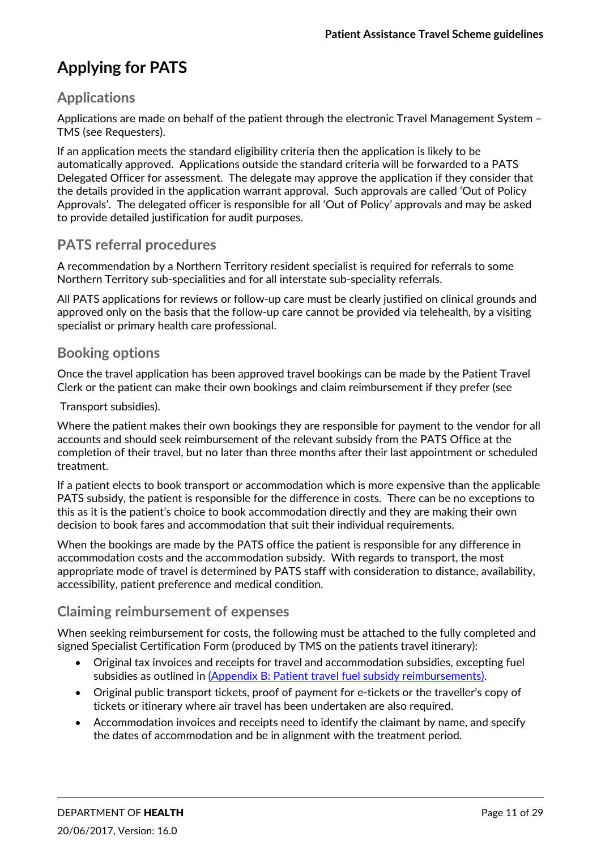# **Applying for PATS**

# **Applications**

Applications are made on behalf of the patient through the electronic Travel Management System – TMS (see Requesters).

If an application meets the standard eligibility criteria then the application is likely to be automatically approved. Applications outside the standard criteria will be forwarded to a PATS Delegated Officer for assessment. The delegate may approve the application if they consider that the details provided in the application warrant approval. Such approvals are called 'Out of Policy Approvals'. The delegated officer is responsible for all 'Out of Policy' approvals and may be asked to provide detailed justification for audit purposes.

# **PATS referral procedures**

A recommendation by a Northern Territory resident specialist is required for referrals to some Northern Territory sub‐specialities and for all interstate sub‐speciality referrals.

All PATS applications for reviews or follow‐up care must be clearly justified on clinical grounds and approved only on the basis that the follow-up care cannot be provided via telehealth, by a visiting specialist or primary health care professional.

#### **Booking options**

Once the travel application has been approved travel bookings can be made by the Patient Travel Clerk or the patient can make their own bookings and claim reimbursement if they prefer (see

Transport subsidies).

Where the patient makes their own bookings they are responsible for payment to the vendor for all accounts and should seek reimbursement of the relevant subsidy from the PATS Office at the completion of their travel, but no later than three months after their last appointment or scheduled treatment.

If a patient elects to book transport or accommodation which is more expensive than the applicable PATS subsidy, the patient is responsible for the difference in costs. There can be no exceptions to this as it is the patient's choice to book accommodation directly and they are making their own decision to book fares and accommodation that suit their individual requirements.

When the bookings are made by the PATS office the patient is responsible for any difference in accommodation costs and the accommodation subsidy. With regards to transport, the most appropriate mode of travel is determined by PATS staff with consideration to distance, availability, accessibility, patient preference and medical condition.

# **Claiming reimbursement of expenses**

When seeking reimbursement for costs, the following must be attached to the fully completed and signed Specialist Certification Form (produced by TMS on the patients travel itinerary):

- Original tax invoices and receipts for travel and accommodation subsidies, excepting fuel subsidies as outlined in (Appendix B: Patient travel fuel subsidy reimbursements).
- Original public transport tickets, proof of payment for e-tickets or the traveller's copy of tickets or itinerary where air travel has been undertaken are also required.
- Accommodation invoices and receipts need to identify the claimant by name, and specify the dates of accommodation and be in alignment with the treatment period.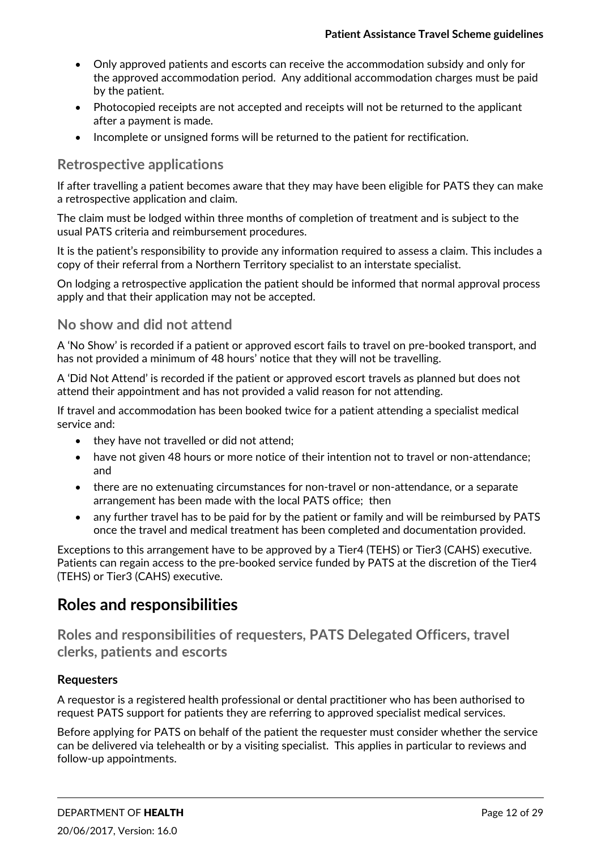- Only approved patients and escorts can receive the accommodation subsidy and only for the approved accommodation period. Any additional accommodation charges must be paid by the patient.
- Photocopied receipts are not accepted and receipts will not be returned to the applicant after a payment is made.
- Incomplete or unsigned forms will be returned to the patient for rectification.

# **Retrospective applications**

If after travelling a patient becomes aware that they may have been eligible for PATS they can make a retrospective application and claim.

The claim must be lodged within three months of completion of treatment and is subject to the usual PATS criteria and reimbursement procedures.

It is the patient's responsibility to provide any information required to assess a claim. This includes a copy of their referral from a Northern Territory specialist to an interstate specialist.

On lodging a retrospective application the patient should be informed that normal approval process apply and that their application may not be accepted.

# **No show and did not attend**

A 'No Show' is recorded if a patient or approved escort fails to travel on pre‐booked transport, and has not provided a minimum of 48 hours' notice that they will not be travelling.

A 'Did Not Attend' is recorded if the patient or approved escort travels as planned but does not attend their appointment and has not provided a valid reason for not attending.

If travel and accommodation has been booked twice for a patient attending a specialist medical service and:

- they have not travelled or did not attend;
- have not given 48 hours or more notice of their intention not to travel or non-attendance; and
- there are no extenuating circumstances for non‐travel or non‐attendance, or a separate arrangement has been made with the local PATS office; then
- any further travel has to be paid for by the patient or family and will be reimbursed by PATS once the travel and medical treatment has been completed and documentation provided.

Exceptions to this arrangement have to be approved by a Tier4 (TEHS) or Tier3 (CAHS) executive. Patients can regain access to the pre‐booked service funded by PATS at the discretion of the Tier4 (TEHS) or Tier3 (CAHS) executive.

# **Roles and responsibilities**

**Roles and responsibilities of requesters, PATS Delegated Officers, travel clerks, patients and escorts**

#### **Requesters**

A requestor is a registered health professional or dental practitioner who has been authorised to request PATS support for patients they are referring to approved specialist medical services.

Before applying for PATS on behalf of the patient the requester must consider whether the service can be delivered via telehealth or by a visiting specialist. This applies in particular to reviews and follow‐up appointments.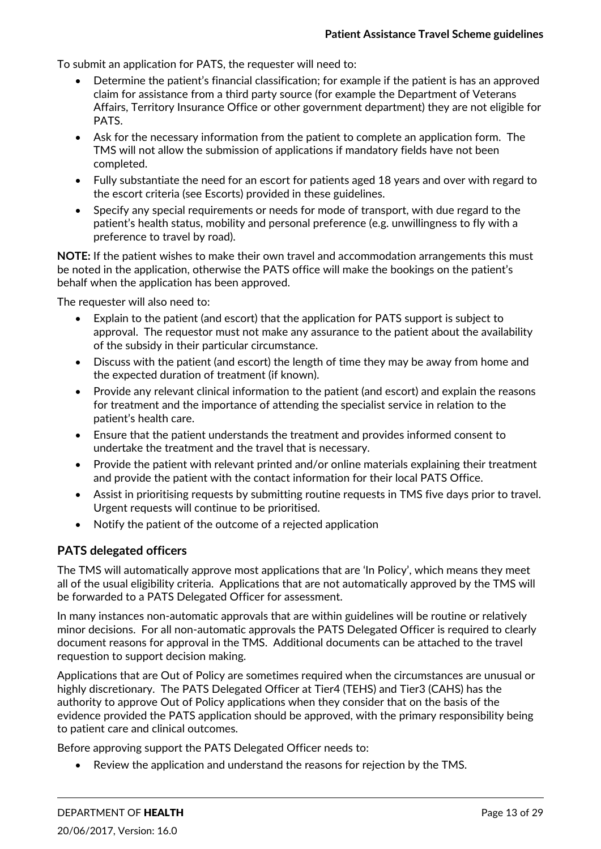To submit an application for PATS, the requester will need to:

- Determine the patient's financial classification; for example if the patient is has an approved claim for assistance from a third party source (for example the Department of Veterans Affairs, Territory Insurance Office or other government department) they are not eligible for PATS.
- Ask for the necessary information from the patient to complete an application form. The TMS will not allow the submission of applications if mandatory fields have not been completed.
- Fully substantiate the need for an escort for patients aged 18 years and over with regard to the escort criteria (see Escorts) provided in these guidelines.
- Specify any special requirements or needs for mode of transport, with due regard to the patient's health status, mobility and personal preference (e.g. unwillingness to fly with a preference to travel by road).

**NOTE:** If the patient wishes to make their own travel and accommodation arrangements this must be noted in the application, otherwise the PATS office will make the bookings on the patient's behalf when the application has been approved.

The requester will also need to:

- Explain to the patient (and escort) that the application for PATS support is subject to approval. The requestor must not make any assurance to the patient about the availability of the subsidy in their particular circumstance.
- Discuss with the patient (and escort) the length of time they may be away from home and the expected duration of treatment (if known).
- Provide any relevant clinical information to the patient (and escort) and explain the reasons for treatment and the importance of attending the specialist service in relation to the patient's health care.
- Ensure that the patient understands the treatment and provides informed consent to undertake the treatment and the travel that is necessary.
- Provide the patient with relevant printed and/or online materials explaining their treatment and provide the patient with the contact information for their local PATS Office.
- Assist in prioritising requests by submitting routine requests in TMS five days prior to travel. Urgent requests will continue to be prioritised.
- Notify the patient of the outcome of a rejected application

#### **PATS delegated officers**

The TMS will automatically approve most applications that are 'In Policy', which means they meet all of the usual eligibility criteria. Applications that are not automatically approved by the TMS will be forwarded to a PATS Delegated Officer for assessment.

In many instances non‐automatic approvals that are within guidelines will be routine or relatively minor decisions. For all non‐automatic approvals the PATS Delegated Officer is required to clearly document reasons for approval in the TMS. Additional documents can be attached to the travel requestion to support decision making.

Applications that are Out of Policy are sometimes required when the circumstances are unusual or highly discretionary. The PATS Delegated Officer at Tier4 (TEHS) and Tier3 (CAHS) has the authority to approve Out of Policy applications when they consider that on the basis of the evidence provided the PATS application should be approved, with the primary responsibility being to patient care and clinical outcomes.

Before approving support the PATS Delegated Officer needs to:

Review the application and understand the reasons for rejection by the TMS.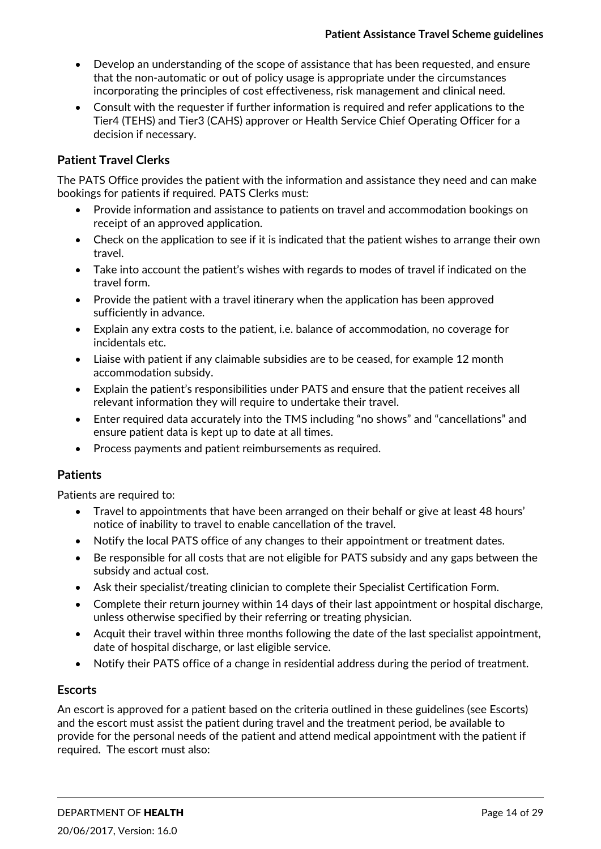- Develop an understanding of the scope of assistance that has been requested, and ensure that the non‐automatic or out of policy usage is appropriate under the circumstances incorporating the principles of cost effectiveness, risk management and clinical need.
- Consult with the requester if further information is required and refer applications to the Tier4 (TEHS) and Tier3 (CAHS) approver or Health Service Chief Operating Officer for a decision if necessary.

#### **Patient Travel Clerks**

The PATS Office provides the patient with the information and assistance they need and can make bookings for patients if required. PATS Clerks must:

- Provide information and assistance to patients on travel and accommodation bookings on receipt of an approved application.
- Check on the application to see if it is indicated that the patient wishes to arrange their own travel.
- Take into account the patient's wishes with regards to modes of travel if indicated on the travel form.
- Provide the patient with a travel itinerary when the application has been approved sufficiently in advance.
- Explain any extra costs to the patient, i.e. balance of accommodation, no coverage for incidentals etc.
- Liaise with patient if any claimable subsidies are to be ceased, for example 12 month accommodation subsidy.
- Explain the patient's responsibilities under PATS and ensure that the patient receives all relevant information they will require to undertake their travel.
- Enter required data accurately into the TMS including "no shows" and "cancellations" and ensure patient data is kept up to date at all times.
- Process payments and patient reimbursements as required.

#### **Patients**

Patients are required to:

- Travel to appointments that have been arranged on their behalf or give at least 48 hours' notice of inability to travel to enable cancellation of the travel.
- Notify the local PATS office of any changes to their appointment or treatment dates.
- Be responsible for all costs that are not eligible for PATS subsidy and any gaps between the subsidy and actual cost.
- Ask their specialist/treating clinician to complete their Specialist Certification Form.
- Complete their return journey within 14 days of their last appointment or hospital discharge, unless otherwise specified by their referring or treating physician.
- Acquit their travel within three months following the date of the last specialist appointment, date of hospital discharge, or last eligible service.
- Notify their PATS office of a change in residential address during the period of treatment.

#### **Escorts**

An escort is approved for a patient based on the criteria outlined in these guidelines (see Escorts) and the escort must assist the patient during travel and the treatment period, be available to provide for the personal needs of the patient and attend medical appointment with the patient if required. The escort must also: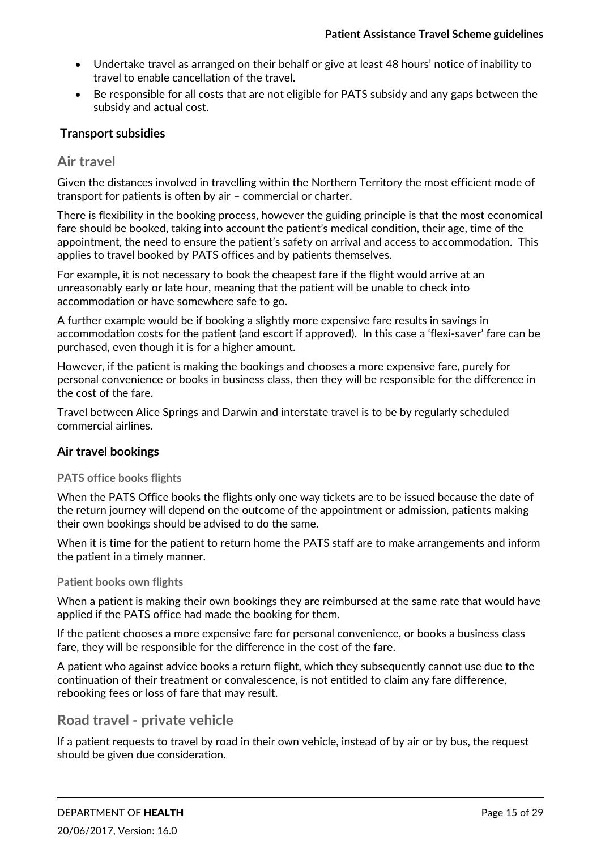- Undertake travel as arranged on their behalf or give at least 48 hours' notice of inability to travel to enable cancellation of the travel.
- Be responsible for all costs that are not eligible for PATS subsidy and any gaps between the subsidy and actual cost.

#### **Transport subsidies**

## **Air travel**

Given the distances involved in travelling within the Northern Territory the most efficient mode of transport for patients is often by air – commercial or charter.

There is flexibility in the booking process, however the guiding principle is that the most economical fare should be booked, taking into account the patient's medical condition, their age, time of the appointment, the need to ensure the patient's safety on arrival and access to accommodation. This applies to travel booked by PATS offices and by patients themselves.

For example, it is not necessary to book the cheapest fare if the flight would arrive at an unreasonably early or late hour, meaning that the patient will be unable to check into accommodation or have somewhere safe to go.

A further example would be if booking a slightly more expensive fare results in savings in accommodation costs for the patient (and escort if approved). In this case a 'flexi‐saver' fare can be purchased, even though it is for a higher amount.

However, if the patient is making the bookings and chooses a more expensive fare, purely for personal convenience or books in business class, then they will be responsible for the difference in the cost of the fare.

Travel between Alice Springs and Darwin and interstate travel is to be by regularly scheduled commercial airlines.

#### **Air travel bookings**

#### **PATS office books flights**

When the PATS Office books the flights only one way tickets are to be issued because the date of the return journey will depend on the outcome of the appointment or admission, patients making their own bookings should be advised to do the same.

When it is time for the patient to return home the PATS staff are to make arrangements and inform the patient in a timely manner.

#### **Patient books own flights**

When a patient is making their own bookings they are reimbursed at the same rate that would have applied if the PATS office had made the booking for them.

If the patient chooses a more expensive fare for personal convenience, or books a business class fare, they will be responsible for the difference in the cost of the fare.

A patient who against advice books a return flight, which they subsequently cannot use due to the continuation of their treatment or convalescence, is not entitled to claim any fare difference, rebooking fees or loss of fare that may result.

## **Road travel ‐ private vehicle**

If a patient requests to travel by road in their own vehicle, instead of by air or by bus, the request should be given due consideration.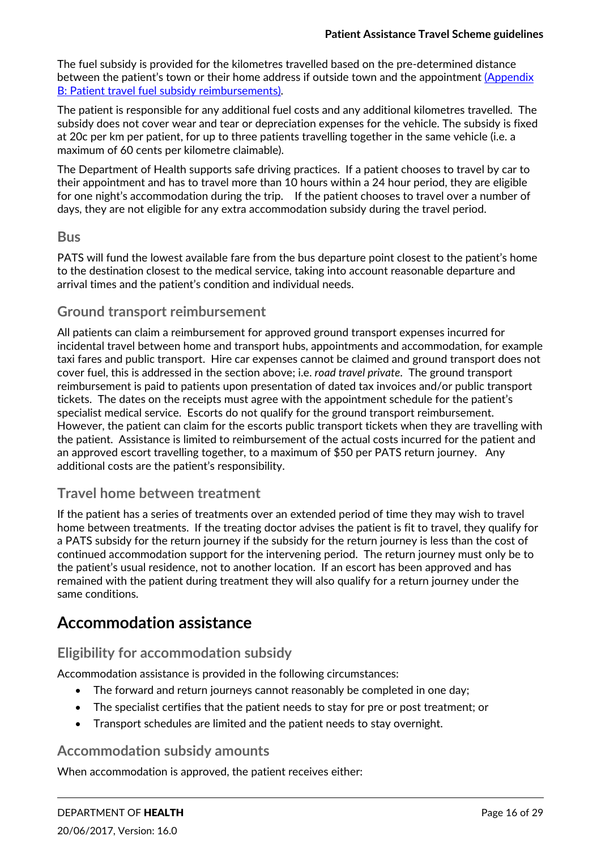The fuel subsidy is provided for the kilometres travelled based on the pre‐determined distance between the patient's town or their home address if outside town and the appointment (Appendix B: Patient travel fuel subsidy reimbursements).

The patient is responsible for any additional fuel costs and any additional kilometres travelled. The subsidy does not cover wear and tear or depreciation expenses for the vehicle. The subsidy is fixed at 20c per km per patient, for up to three patients travelling together in the same vehicle (i.e. a maximum of 60 cents per kilometre claimable).

The Department of Health supports safe driving practices. If a patient chooses to travel by car to their appointment and has to travel more than 10 hours within a 24 hour period, they are eligible for one night's accommodation during the trip. If the patient chooses to travel over a number of days, they are not eligible for any extra accommodation subsidy during the travel period.

#### **Bus**

PATS will fund the lowest available fare from the bus departure point closest to the patient's home to the destination closest to the medical service, taking into account reasonable departure and arrival times and the patient's condition and individual needs.

# **Ground transport reimbursement**

All patients can claim a reimbursement for approved ground transport expenses incurred for incidental travel between home and transport hubs, appointments and accommodation, for example taxi fares and public transport. Hire car expenses cannot be claimed and ground transport does not cover fuel, this is addressed in the section above; i.e. *road travel private*. The ground transport reimbursement is paid to patients upon presentation of dated tax invoices and/or public transport tickets. The dates on the receipts must agree with the appointment schedule for the patient's specialist medical service. Escorts do not qualify for the ground transport reimbursement. However, the patient can claim for the escorts public transport tickets when they are travelling with the patient. Assistance is limited to reimbursement of the actual costs incurred for the patient and an approved escort travelling together, to a maximum of \$50 per PATS return journey. Any additional costs are the patient's responsibility.

## **Travel home between treatment**

If the patient has a series of treatments over an extended period of time they may wish to travel home between treatments. If the treating doctor advises the patient is fit to travel, they qualify for a PATS subsidy for the return journey if the subsidy for the return journey is less than the cost of continued accommodation support for the intervening period. The return journey must only be to the patient's usual residence, not to another location. If an escort has been approved and has remained with the patient during treatment they will also qualify for a return journey under the same conditions.

# **Accommodation assistance**

## **Eligibility for accommodation subsidy**

Accommodation assistance is provided in the following circumstances:

- The forward and return journeys cannot reasonably be completed in one day;
- The specialist certifies that the patient needs to stay for pre or post treatment; or
- Transport schedules are limited and the patient needs to stay overnight.

## **Accommodation subsidy amounts**

When accommodation is approved, the patient receives either: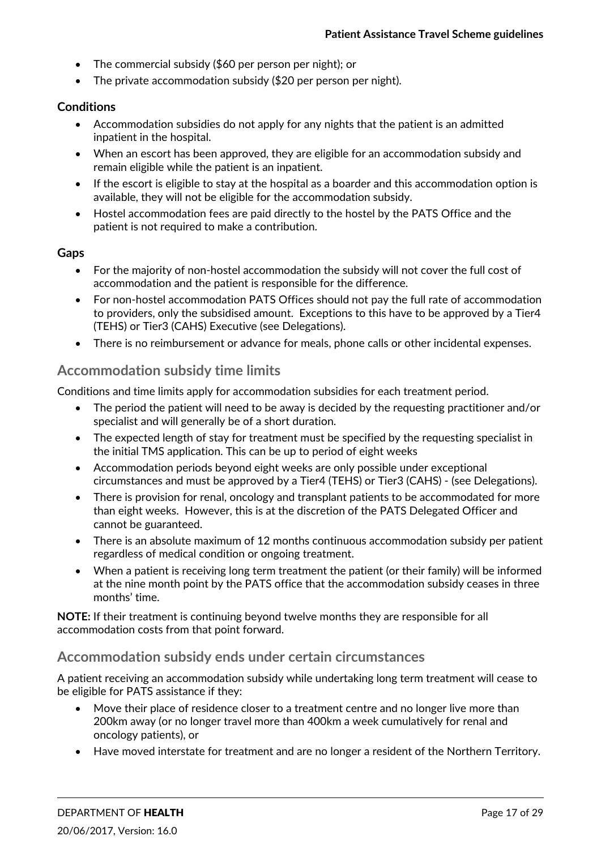- The commercial subsidy (\$60 per person per night); or
- The private accommodation subsidy (\$20 per person per night).

#### **Conditions**

- Accommodation subsidies do not apply for any nights that the patient is an admitted inpatient in the hospital.
- When an escort has been approved, they are eligible for an accommodation subsidy and remain eligible while the patient is an inpatient.
- If the escort is eligible to stay at the hospital as a boarder and this accommodation option is available, they will not be eligible for the accommodation subsidy.
- Hostel accommodation fees are paid directly to the hostel by the PATS Office and the patient is not required to make a contribution.

#### **Gaps**

- For the majority of non‐hostel accommodation the subsidy will not cover the full cost of accommodation and the patient is responsible for the difference.
- For non‐hostel accommodation PATS Offices should not pay the full rate of accommodation to providers, only the subsidised amount. Exceptions to this have to be approved by a Tier4 (TEHS) or Tier3 (CAHS) Executive (see Delegations).
- There is no reimbursement or advance for meals, phone calls or other incidental expenses.

# **Accommodation subsidy time limits**

Conditions and time limits apply for accommodation subsidies for each treatment period.

- The period the patient will need to be away is decided by the requesting practitioner and/or specialist and will generally be of a short duration.
- The expected length of stay for treatment must be specified by the requesting specialist in the initial TMS application. This can be up to period of eight weeks
- Accommodation periods beyond eight weeks are only possible under exceptional circumstances and must be approved by a Tier4 (TEHS) or Tier3 (CAHS) ‐ (see Delegations).
- There is provision for renal, oncology and transplant patients to be accommodated for more than eight weeks. However, this is at the discretion of the PATS Delegated Officer and cannot be guaranteed.
- There is an absolute maximum of 12 months continuous accommodation subsidy per patient regardless of medical condition or ongoing treatment.
- When a patient is receiving long term treatment the patient (or their family) will be informed at the nine month point by the PATS office that the accommodation subsidy ceases in three months' time.

**NOTE:** If their treatment is continuing beyond twelve months they are responsible for all accommodation costs from that point forward.

## **Accommodation subsidy ends under certain circumstances**

A patient receiving an accommodation subsidy while undertaking long term treatment will cease to be eligible for PATS assistance if they:

- Move their place of residence closer to a treatment centre and no longer live more than 200km away (or no longer travel more than 400km a week cumulatively for renal and oncology patients), or
- Have moved interstate for treatment and are no longer a resident of the Northern Territory.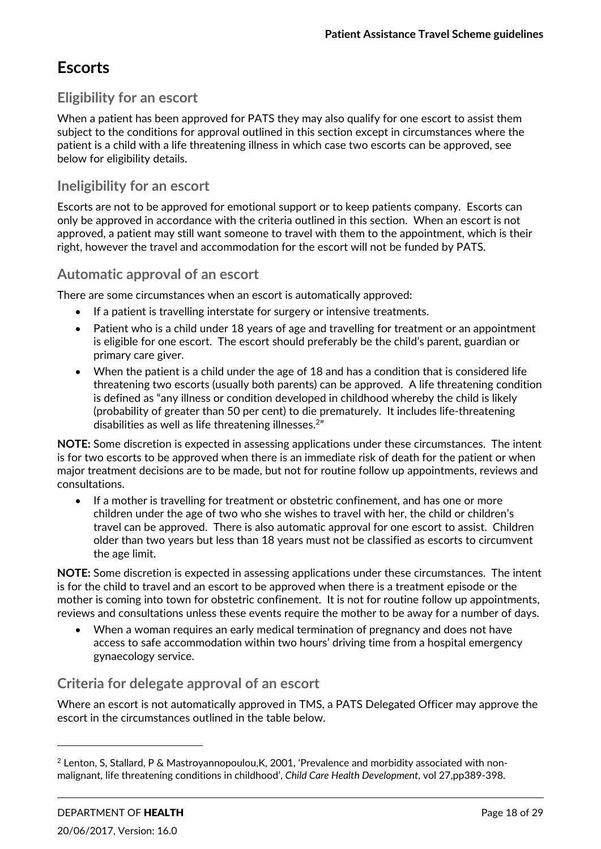# **Escorts**

# **Eligibility for an escort**

When a patient has been approved for PATS they may also qualify for one escort to assist them subject to the conditions for approval outlined in this section except in circumstances where the patient is a child with a life threatening illness in which case two escorts can be approved, see below for eligibility details.

# **Ineligibility for an escort**

Escorts are not to be approved for emotional support or to keep patients company. Escorts can only be approved in accordance with the criteria outlined in this section. When an escort is not approved, a patient may still want someone to travel with them to the appointment, which is their right, however the travel and accommodation for the escort will not be funded by PATS.

# **Automatic approval of an escort**

There are some circumstances when an escort is automatically approved:

- If a patient is travelling interstate for surgery or intensive treatments.
- Patient who is a child under 18 years of age and travelling for treatment or an appointment is eligible for one escort. The escort should preferably be the child's parent, guardian or primary care giver.
- When the patient is a child under the age of 18 and has a condition that is considered life threatening two escorts (usually both parents) can be approved. A life threatening condition is defined as "any illness or condition developed in childhood whereby the child is likely (probability of greater than 50 per cent) to die prematurely. It includes life‐threatening disabilities as well as life threatening illnesses.<sup>2"</sup>

**NOTE:** Some discretion is expected in assessing applications under these circumstances. The intent is for two escorts to be approved when there is an immediate risk of death for the patient or when major treatment decisions are to be made, but not for routine follow up appointments, reviews and consultations.

 If a mother is travelling for treatment or obstetric confinement, and has one or more children under the age of two who she wishes to travel with her, the child or children's travel can be approved. There is also automatic approval for one escort to assist. Children older than two years but less than 18 years must not be classified as escorts to circumvent the age limit.

**NOTE:** Some discretion is expected in assessing applications under these circumstances. The intent is for the child to travel and an escort to be approved when there is a treatment episode or the mother is coming into town for obstetric confinement. It is not for routine follow up appointments, reviews and consultations unless these events require the mother to be away for a number of days.

 When a woman requires an early medical termination of pregnancy and does not have access to safe accommodation within two hours' driving time from a hospital emergency gynaecology service.

# **Criteria for delegate approval of an escort**

Where an escort is not automatically approved in TMS, a PATS Delegated Officer may approve the escort in the circumstances outlined in the table below.

<u> 1989 - Jan Samuel Barbara, político establecido de la provincia de la provincia de la provincia de la provinci</u>

 $2$  Lenton, S, Stallard, P & Mastroyannopoulou, K, 2001, 'Prevalence and morbidity associated with nonmalignant, life threatening conditions in childhood', *Child Care Health Development*, vol 27,pp389‐398.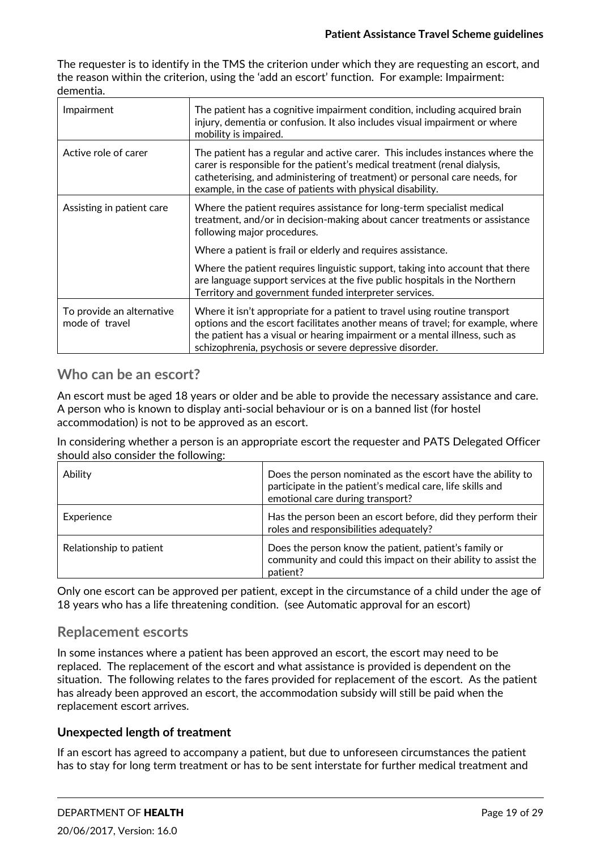The requester is to identify in the TMS the criterion under which they are requesting an escort, and the reason within the criterion, using the 'add an escort' function. For example: Impairment: dementia.

| Impairment                                  | The patient has a cognitive impairment condition, including acquired brain<br>injury, dementia or confusion. It also includes visual impairment or where<br>mobility is impaired.                                                                                                                      |
|---------------------------------------------|--------------------------------------------------------------------------------------------------------------------------------------------------------------------------------------------------------------------------------------------------------------------------------------------------------|
| Active role of carer                        | The patient has a regular and active carer. This includes instances where the<br>carer is responsible for the patient's medical treatment (renal dialysis,<br>catheterising, and administering of treatment) or personal care needs, for<br>example, in the case of patients with physical disability. |
| Assisting in patient care                   | Where the patient requires assistance for long-term specialist medical<br>treatment, and/or in decision-making about cancer treatments or assistance<br>following major procedures.                                                                                                                    |
|                                             | Where a patient is frail or elderly and requires assistance.                                                                                                                                                                                                                                           |
|                                             | Where the patient requires linguistic support, taking into account that there<br>are language support services at the five public hospitals in the Northern<br>Territory and government funded interpreter services.                                                                                   |
| To provide an alternative<br>mode of travel | Where it isn't appropriate for a patient to travel using routine transport<br>options and the escort facilitates another means of travel; for example, where<br>the patient has a visual or hearing impairment or a mental illness, such as<br>schizophrenia, psychosis or severe depressive disorder. |

# **Who can be an escort?**

An escort must be aged 18 years or older and be able to provide the necessary assistance and care. A person who is known to display anti‐social behaviour or is on a banned list (for hostel accommodation) is not to be approved as an escort.

In considering whether a person is an appropriate escort the requester and PATS Delegated Officer should also consider the following:

| Ability                 | Does the person nominated as the escort have the ability to<br>participate in the patient's medical care, life skills and<br>emotional care during transport? |
|-------------------------|---------------------------------------------------------------------------------------------------------------------------------------------------------------|
| Experience              | Has the person been an escort before, did they perform their<br>roles and responsibilities adequately?                                                        |
| Relationship to patient | Does the person know the patient, patient's family or<br>community and could this impact on their ability to assist the<br>patient?                           |

Only one escort can be approved per patient, except in the circumstance of a child under the age of 18 years who has a life threatening condition. (see Automatic approval for an escort)

# **Replacement escorts**

In some instances where a patient has been approved an escort, the escort may need to be replaced. The replacement of the escort and what assistance is provided is dependent on the situation. The following relates to the fares provided for replacement of the escort. As the patient has already been approved an escort, the accommodation subsidy will still be paid when the replacement escort arrives.

#### **Unexpected length of treatment**

If an escort has agreed to accompany a patient, but due to unforeseen circumstances the patient has to stay for long term treatment or has to be sent interstate for further medical treatment and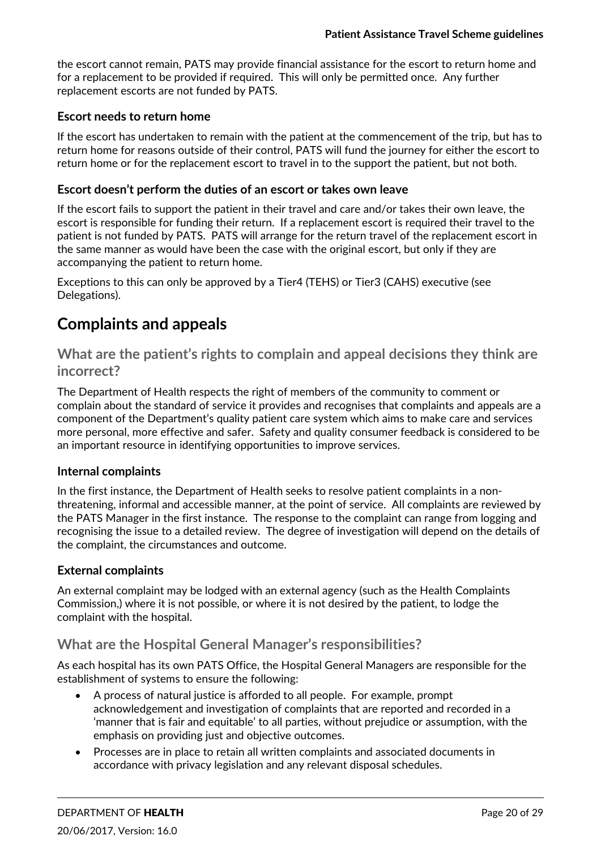the escort cannot remain, PATS may provide financial assistance for the escort to return home and for a replacement to be provided if required. This will only be permitted once. Any further replacement escorts are not funded by PATS.

#### **Escort needs to return home**

If the escort has undertaken to remain with the patient at the commencement of the trip, but has to return home for reasons outside of their control, PATS will fund the journey for either the escort to return home or for the replacement escort to travel in to the support the patient, but not both.

#### **Escort doesn't perform the duties of an escort or takes own leave**

If the escort fails to support the patient in their travel and care and/or takes their own leave, the escort is responsible for funding their return. If a replacement escort is required their travel to the patient is not funded by PATS. PATS will arrange for the return travel of the replacement escort in the same manner as would have been the case with the original escort, but only if they are accompanying the patient to return home.

Exceptions to this can only be approved by a Tier4 (TEHS) or Tier3 (CAHS) executive (see Delegations).

# **Complaints and appeals**

**What are the patient's rights to complain and appeal decisions they think are incorrect?**

The Department of Health respects the right of members of the community to comment or complain about the standard of service it provides and recognises that complaints and appeals are a component of the Department's quality patient care system which aims to make care and services more personal, more effective and safer. Safety and quality consumer feedback is considered to be an important resource in identifying opportunities to improve services.

#### **Internal complaints**

In the first instance, the Department of Health seeks to resolve patient complaints in a non‐ threatening, informal and accessible manner, at the point of service. All complaints are reviewed by the PATS Manager in the first instance. The response to the complaint can range from logging and recognising the issue to a detailed review. The degree of investigation will depend on the details of the complaint, the circumstances and outcome.

#### **External complaints**

An external complaint may be lodged with an external agency (such as the Health Complaints Commission,) where it is not possible, or where it is not desired by the patient, to lodge the complaint with the hospital.

## **What are the Hospital General Manager's responsibilities?**

As each hospital has its own PATS Office, the Hospital General Managers are responsible for the establishment of systems to ensure the following:

- A process of natural justice is afforded to all people. For example, prompt acknowledgement and investigation of complaints that are reported and recorded in a 'manner that is fair and equitable' to all parties, without prejudice or assumption, with the emphasis on providing just and objective outcomes.
- Processes are in place to retain all written complaints and associated documents in accordance with privacy legislation and any relevant disposal schedules.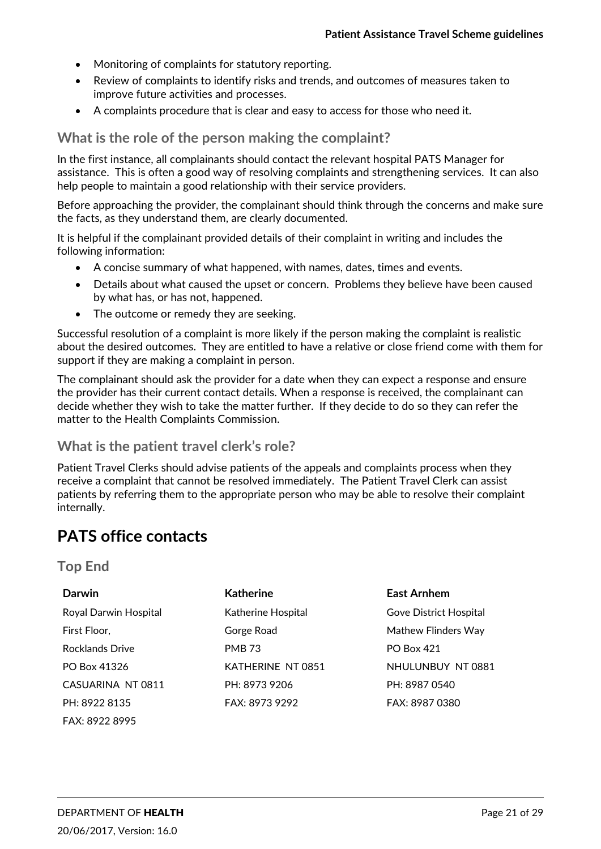- Monitoring of complaints for statutory reporting.
- Review of complaints to identify risks and trends, and outcomes of measures taken to improve future activities and processes.
- A complaints procedure that is clear and easy to access for those who need it.

**What is the role of the person making the complaint?**

In the first instance, all complainants should contact the relevant hospital PATS Manager for assistance. This is often a good way of resolving complaints and strengthening services. It can also help people to maintain a good relationship with their service providers.

Before approaching the provider, the complainant should think through the concerns and make sure the facts, as they understand them, are clearly documented.

It is helpful if the complainant provided details of their complaint in writing and includes the following information:

- A concise summary of what happened, with names, dates, times and events.
- Details about what caused the upset or concern. Problems they believe have been caused by what has, or has not, happened.
- The outcome or remedy they are seeking.

Successful resolution of a complaint is more likely if the person making the complaint is realistic about the desired outcomes. They are entitled to have a relative or close friend come with them for support if they are making a complaint in person.

The complainant should ask the provider for a date when they can expect a response and ensure the provider has their current contact details. When a response is received, the complainant can decide whether they wish to take the matter further. If they decide to do so they can refer the matter to the Health Complaints Commission.

# **What is the patient travel clerk's role?**

Patient Travel Clerks should advise patients of the appeals and complaints process when they receive a complaint that cannot be resolved immediately. The Patient Travel Clerk can assist patients by referring them to the appropriate person who may be able to resolve their complaint internally.

# **PATS office contacts**

## **Top End**

| <b>Darwin</b>          | <b>Katherine</b>   | <b>East Arnhem</b>     |
|------------------------|--------------------|------------------------|
| Royal Darwin Hospital  | Katherine Hospital | Gove District Hospital |
| First Floor,           | Gorge Road         | Mathew Flinders Way    |
| <b>Rocklands Drive</b> | <b>PMB 73</b>      | <b>PO Box 421</b>      |
| PO Box 41326           | KATHERINE NT 0851  | NHULUNBUY NT 0881      |
| CASUARINA NT 0811      | PH: 8973 9206      | PH: 8987 0540          |
| PH: 8922 8135          | FAX: 8973 9292     | FAX: 8987 0380         |
| FAX: 8922 8995         |                    |                        |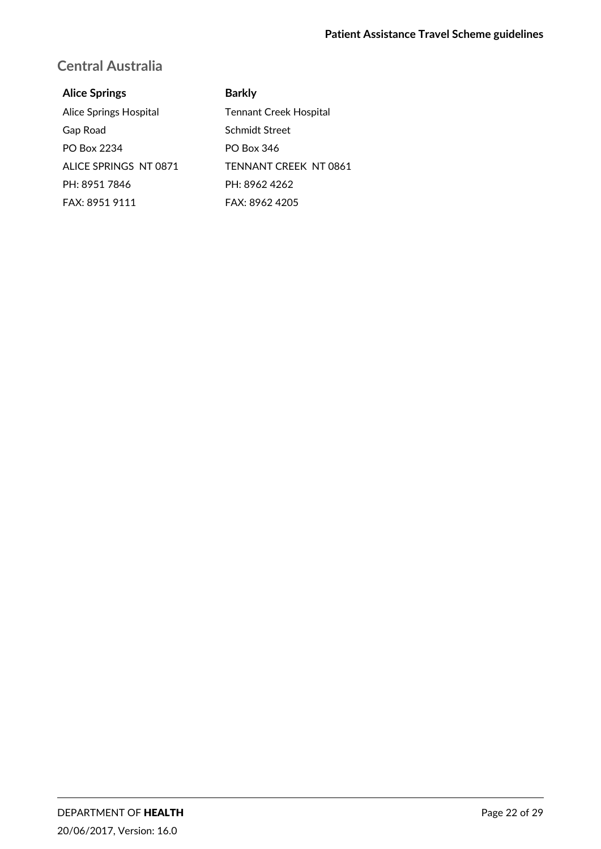# **Central Australia**

#### **Alice Springs**

Alice Springs Hospital Gap Road PO Box 2234 ALICE SPRINGS NT 0871 PH: 8951 7846 FAX: 8951 9111

#### **Barkly**

Tennant Creek Hospital Schmidt Street PO Box 346 TENNANT CREEK NT 0861 PH: 8962 4262 FAX: 8962 4205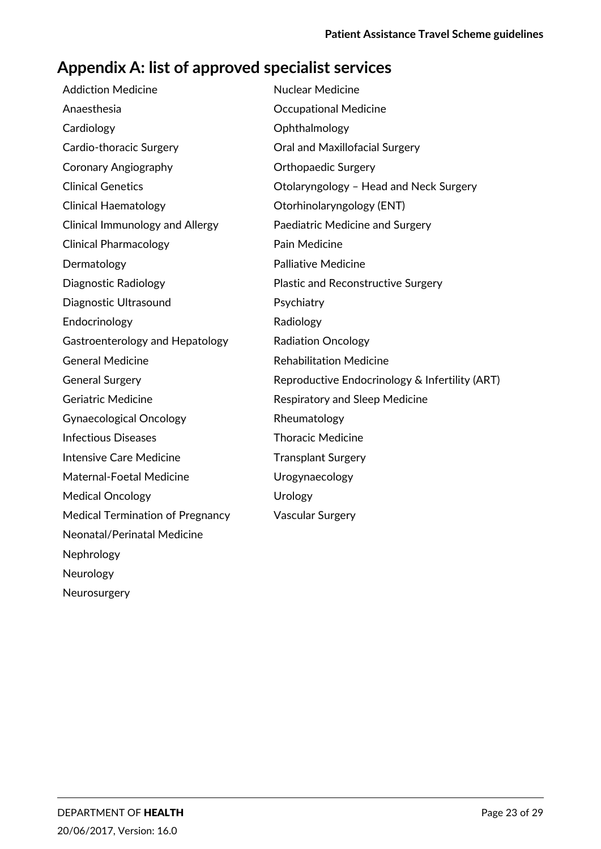# **Appendix A: list of approved specialist services**

| <b>Addiction Medicine</b>               | <b>Nuclear Medicine</b>                        |
|-----------------------------------------|------------------------------------------------|
| Anaesthesia                             | <b>Occupational Medicine</b>                   |
| Cardiology                              | Ophthalmology                                  |
| Cardio-thoracic Surgery                 | Oral and Maxillofacial Surgery                 |
| <b>Coronary Angiography</b>             | <b>Orthopaedic Surgery</b>                     |
| <b>Clinical Genetics</b>                | Otolaryngology - Head and Neck Surgery         |
| <b>Clinical Haematology</b>             | Otorhinolaryngology (ENT)                      |
| <b>Clinical Immunology and Allergy</b>  | Paediatric Medicine and Surgery                |
| <b>Clinical Pharmacology</b>            | Pain Medicine                                  |
| Dermatology                             | <b>Palliative Medicine</b>                     |
| <b>Diagnostic Radiology</b>             | <b>Plastic and Reconstructive Surgery</b>      |
| Diagnostic Ultrasound                   | Psychiatry                                     |
| Endocrinology                           | Radiology                                      |
| Gastroenterology and Hepatology         | <b>Radiation Oncology</b>                      |
| <b>General Medicine</b>                 | <b>Rehabilitation Medicine</b>                 |
| <b>General Surgery</b>                  | Reproductive Endocrinology & Infertility (ART) |
| <b>Geriatric Medicine</b>               | Respiratory and Sleep Medicine                 |
| <b>Gynaecological Oncology</b>          | Rheumatology                                   |
| <b>Infectious Diseases</b>              | <b>Thoracic Medicine</b>                       |
| Intensive Care Medicine                 | <b>Transplant Surgery</b>                      |
| Maternal-Foetal Medicine                | Urogynaecology                                 |
| <b>Medical Oncology</b>                 | Urology                                        |
| <b>Medical Termination of Pregnancy</b> | <b>Vascular Surgery</b>                        |
| Neonatal/Perinatal Medicine             |                                                |
| Nephrology                              |                                                |
| Neurology                               |                                                |
| Neurosurgery                            |                                                |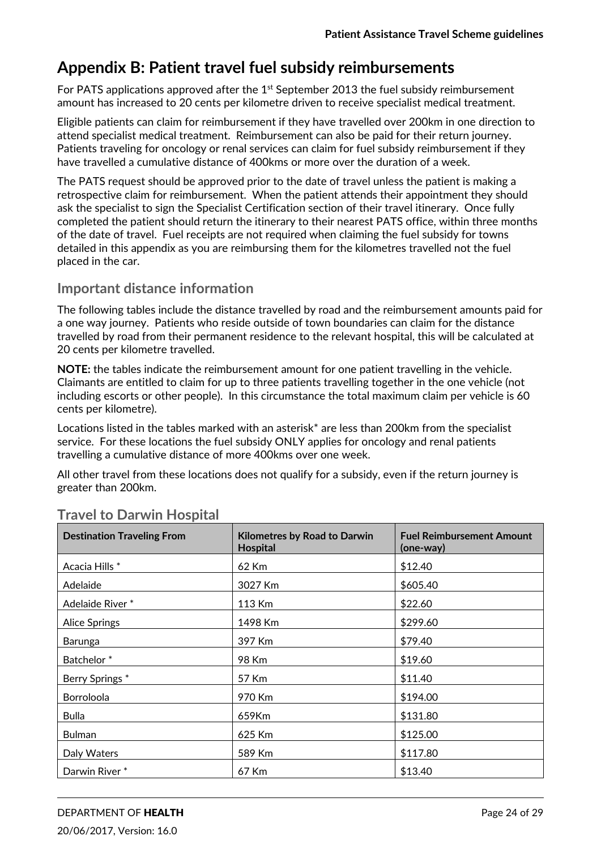# **Appendix B: Patient travel fuel subsidy reimbursements**

For PATS applications approved after the  $1<sup>st</sup>$  September 2013 the fuel subsidy reimbursement amount has increased to 20 cents per kilometre driven to receive specialist medical treatment.

Eligible patients can claim for reimbursement if they have travelled over 200km in one direction to attend specialist medical treatment. Reimbursement can also be paid for their return journey. Patients traveling for oncology or renal services can claim for fuel subsidy reimbursement if they have travelled a cumulative distance of 400kms or more over the duration of a week.

The PATS request should be approved prior to the date of travel unless the patient is making a retrospective claim for reimbursement. When the patient attends their appointment they should ask the specialist to sign the Specialist Certification section of their travel itinerary. Once fully completed the patient should return the itinerary to their nearest PATS office, within three months of the date of travel. Fuel receipts are not required when claiming the fuel subsidy for towns detailed in this appendix as you are reimbursing them for the kilometres travelled not the fuel placed in the car.

# **Important distance information**

The following tables include the distance travelled by road and the reimbursement amounts paid for a one way journey. Patients who reside outside of town boundaries can claim for the distance travelled by road from their permanent residence to the relevant hospital, this will be calculated at 20 cents per kilometre travelled.

**NOTE:** the tables indicate the reimbursement amount for one patient travelling in the vehicle. Claimants are entitled to claim for up to three patients travelling together in the one vehicle (not including escorts or other people). In this circumstance the total maximum claim per vehicle is 60 cents per kilometre).

Locations listed in the tables marked with an asterisk\* are less than 200km from the specialist service. For these locations the fuel subsidy ONLY applies for oncology and renal patients travelling a cumulative distance of more 400kms over one week.

All other travel from these locations does not qualify for a subsidy, even if the return journey is greater than 200km.

| <b>Destination Traveling From</b> | <b>Kilometres by Road to Darwin</b><br><b>Hospital</b> | <b>Fuel Reimbursement Amount</b><br>(one-way) |
|-----------------------------------|--------------------------------------------------------|-----------------------------------------------|
| Acacia Hills *                    | 62 Km                                                  | \$12.40                                       |
| Adelaide                          | 3027 Km                                                | \$605.40                                      |
| Adelaide River*                   | 113 Km                                                 | \$22.60                                       |
| <b>Alice Springs</b>              | 1498 Km                                                | \$299.60                                      |
| Barunga                           | 397 Km                                                 | \$79.40                                       |
| Batchelor <sup>*</sup>            | 98 Km                                                  | \$19.60                                       |
| Berry Springs*                    | 57 Km                                                  | \$11.40                                       |
| Borroloola                        | 970 Km                                                 | \$194.00                                      |
| <b>Bulla</b>                      | 659Km                                                  | \$131.80                                      |
| <b>Bulman</b>                     | 625 Km                                                 | \$125.00                                      |
| Daly Waters                       | 589 Km                                                 | \$117.80                                      |
| Darwin River*                     | 67 Km                                                  | \$13.40                                       |

# **Travel to Darwin Hospital**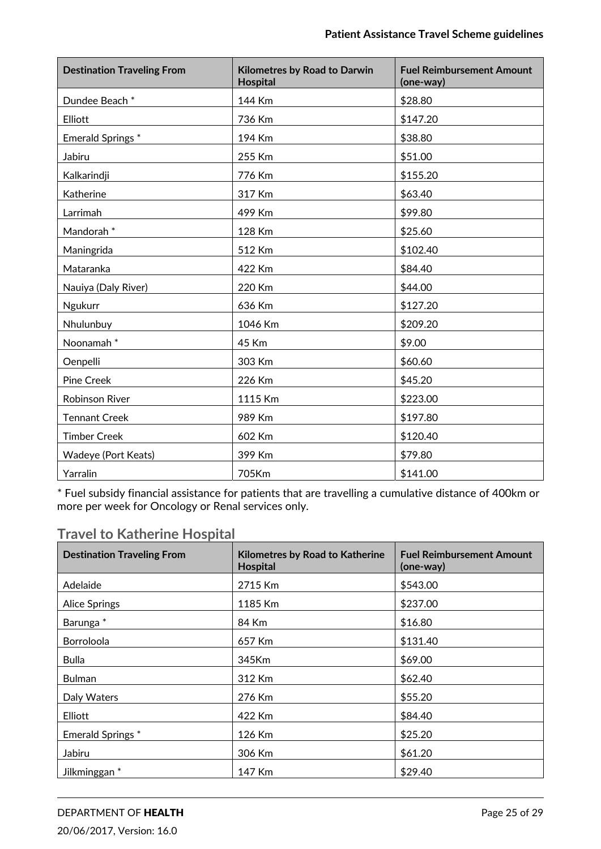| <b>Destination Traveling From</b> | <b>Kilometres by Road to Darwin</b><br><b>Hospital</b> | <b>Fuel Reimbursement Amount</b><br>(one-way) |
|-----------------------------------|--------------------------------------------------------|-----------------------------------------------|
| Dundee Beach *                    | 144 Km                                                 | \$28.80                                       |
| Elliott                           | 736 Km                                                 | \$147.20                                      |
| Emerald Springs*                  | 194 Km                                                 | \$38.80                                       |
| Jabiru                            | 255 Km                                                 | \$51.00                                       |
| Kalkarindji                       | 776 Km                                                 | \$155.20                                      |
| Katherine                         | 317 Km                                                 | \$63.40                                       |
| Larrimah                          | 499 Km                                                 | \$99.80                                       |
| Mandorah <sup>*</sup>             | 128 Km                                                 | \$25.60                                       |
| Maningrida                        | 512 Km                                                 | \$102.40                                      |
| Mataranka                         | 422 Km                                                 | \$84.40                                       |
| Nauiya (Daly River)               | 220 Km                                                 | \$44.00                                       |
| Ngukurr                           | 636 Km                                                 | \$127.20                                      |
| Nhulunbuy                         | 1046 Km                                                | \$209.20                                      |
| Noonamah*                         | 45 Km                                                  | \$9.00                                        |
| Oenpelli                          | 303 Km                                                 | \$60.60                                       |
| Pine Creek                        | 226 Km                                                 | \$45.20                                       |
| <b>Robinson River</b>             | 1115 Km                                                | \$223.00                                      |
| <b>Tennant Creek</b>              | 989 Km                                                 | \$197.80                                      |
| <b>Timber Creek</b>               | 602 Km                                                 | \$120.40                                      |
| <b>Wadeye (Port Keats)</b>        | 399 Km                                                 | \$79.80                                       |
| Yarralin                          | 705Km                                                  | \$141.00                                      |

# **Travel to Katherine Hospital**

| <b>Destination Traveling From</b> | <b>Kilometres by Road to Katherine</b><br><b>Hospital</b> | <b>Fuel Reimbursement Amount</b><br>(one-way) |
|-----------------------------------|-----------------------------------------------------------|-----------------------------------------------|
| Adelaide                          | 2715 Km                                                   | \$543.00                                      |
| <b>Alice Springs</b>              | 1185 Km                                                   | \$237.00                                      |
| Barunga <sup>*</sup>              | 84 Km                                                     | \$16.80                                       |
| Borroloola                        | 657 Km                                                    | \$131.40                                      |
| <b>Bulla</b>                      | 345Km                                                     | \$69.00                                       |
| <b>Bulman</b>                     | 312 Km                                                    | \$62.40                                       |
| Daly Waters                       | 276 Km                                                    | \$55.20                                       |
| Elliott                           | 422 Km                                                    | \$84.40                                       |
| Emerald Springs *                 | 126 Km                                                    | \$25.20                                       |
| Jabiru                            | 306 Km                                                    | \$61.20                                       |
| Jilkminggan <sup>*</sup>          | 147 Km                                                    | \$29.40                                       |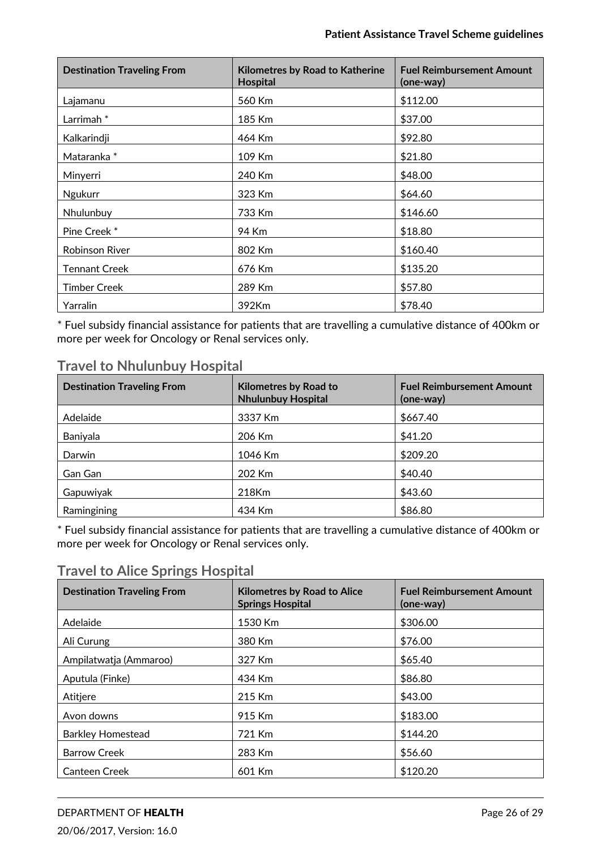| <b>Destination Traveling From</b> | <b>Kilometres by Road to Katherine</b><br>Hospital | <b>Fuel Reimbursement Amount</b><br>(one-way) |
|-----------------------------------|----------------------------------------------------|-----------------------------------------------|
| Lajamanu                          | 560 Km                                             | \$112.00                                      |
| Larrimah <sup>*</sup>             | 185 Km                                             | \$37.00                                       |
| Kalkarindji                       | 464 Km                                             | \$92.80                                       |
| Mataranka*                        | 109 Km                                             | \$21.80                                       |
| Minyerri                          | 240 Km                                             | \$48.00                                       |
| Ngukurr                           | 323 Km                                             | \$64.60                                       |
| Nhulunbuy                         | 733 Km                                             | \$146.60                                      |
| Pine Creek*                       | 94 Km                                              | \$18.80                                       |
| Robinson River                    | 802 Km                                             | \$160.40                                      |
| <b>Tennant Creek</b>              | 676 Km                                             | \$135.20                                      |
| <b>Timber Creek</b>               | 289 Km                                             | \$57.80                                       |
| Yarralin                          | 392Km                                              | \$78.40                                       |

# **Travel to Nhulunbuy Hospital**

| <b>Destination Traveling From</b> | <b>Kilometres by Road to</b><br><b>Nhulunbuy Hospital</b> | <b>Fuel Reimbursement Amount</b><br>(one-way) |
|-----------------------------------|-----------------------------------------------------------|-----------------------------------------------|
| Adelaide                          | 3337 Km                                                   | \$667.40                                      |
| Baniyala                          | 206 Km                                                    | \$41.20                                       |
| Darwin                            | 1046 Km                                                   | \$209.20                                      |
| Gan Gan                           | 202 Km                                                    | \$40.40                                       |
| Gapuwiyak                         | 218Km                                                     | \$43.60                                       |
| Ramingining                       | 434 Km                                                    | \$86.80                                       |

\* Fuel subsidy financial assistance for patients that are travelling a cumulative distance of 400km or more per week for Oncology or Renal services only.

# **Travel to Alice Springs Hospital**

| <b>Destination Traveling From</b> | <b>Kilometres by Road to Alice</b><br><b>Springs Hospital</b> | <b>Fuel Reimbursement Amount</b><br>(one-way) |
|-----------------------------------|---------------------------------------------------------------|-----------------------------------------------|
| Adelaide                          | 1530 Km                                                       | \$306.00                                      |
| Ali Curung                        | 380 Km                                                        | \$76.00                                       |
| Ampilatwatja (Ammaroo)            | 327 Km                                                        | \$65.40                                       |
| Aputula (Finke)                   | 434 Km                                                        | \$86.80                                       |
| Atitjere                          | 215 Km                                                        | \$43.00                                       |
| Avon downs                        | 915 Km                                                        | \$183.00                                      |
| <b>Barkley Homestead</b>          | 721 Km                                                        | \$144.20                                      |
| <b>Barrow Creek</b>               | 283 Km                                                        | \$56.60                                       |
| <b>Canteen Creek</b>              | 601 Km                                                        | \$120.20                                      |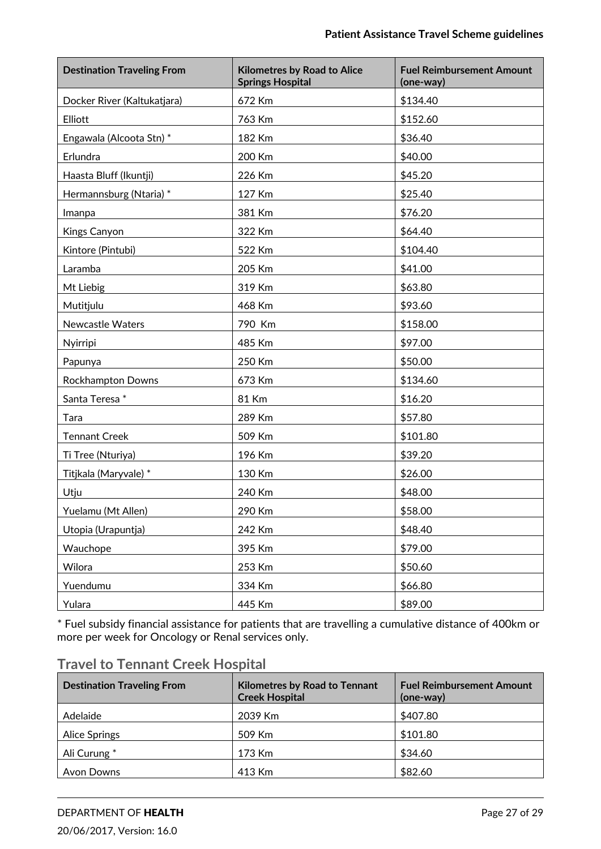| <b>Destination Traveling From</b> | <b>Kilometres by Road to Alice</b><br><b>Springs Hospital</b> | <b>Fuel Reimbursement Amount</b><br>(one-way) |
|-----------------------------------|---------------------------------------------------------------|-----------------------------------------------|
| Docker River (Kaltukatjara)       | 672 Km                                                        | \$134.40                                      |
| Elliott                           | 763 Km                                                        | \$152.60                                      |
| Engawala (Alcoota Stn) *          | 182 Km                                                        | \$36.40                                       |
| Erlundra                          | 200 Km                                                        | \$40.00                                       |
| Haasta Bluff (Ikuntji)            | 226 Km                                                        | \$45.20                                       |
| Hermannsburg (Ntaria) *           | 127 Km                                                        | \$25.40                                       |
| Imanpa                            | 381 Km                                                        | \$76.20                                       |
| Kings Canyon                      | 322 Km                                                        | \$64.40                                       |
| Kintore (Pintubi)                 | 522 Km                                                        | \$104.40                                      |
| Laramba                           | 205 Km                                                        | \$41.00                                       |
| Mt Liebig                         | 319 Km                                                        | \$63.80                                       |
| Mutitjulu                         | 468 Km                                                        | \$93.60                                       |
| <b>Newcastle Waters</b>           | 790 Km                                                        | \$158.00                                      |
| Nyirripi                          | 485 Km                                                        | \$97.00                                       |
| Papunya                           | 250 Km                                                        | \$50.00                                       |
| Rockhampton Downs                 | 673 Km                                                        | \$134.60                                      |
| Santa Teresa*                     | 81 Km                                                         | \$16.20                                       |
| Tara                              | 289 Km                                                        | \$57.80                                       |
| <b>Tennant Creek</b>              | 509 Km                                                        | \$101.80                                      |
| Ti Tree (Nturiya)                 | 196 Km                                                        | \$39.20                                       |
| Titjkala (Maryvale) *             | 130 Km                                                        | \$26.00                                       |
| Utju                              | 240 Km                                                        | \$48.00                                       |
| Yuelamu (Mt Allen)                | 290 Km                                                        | \$58.00                                       |
| Utopia (Urapuntja)                | 242 Km                                                        | \$48.40                                       |
| Wauchope                          | 395 Km                                                        | \$79.00                                       |
| Wilora                            | 253 Km                                                        | \$50.60                                       |
| Yuendumu                          | 334 Km                                                        | \$66.80                                       |
| Yulara                            | 445 Km                                                        | \$89.00                                       |

| <b>Travel to Tennant Creek Hospital</b> |
|-----------------------------------------|
|-----------------------------------------|

| <b>Destination Traveling From</b> | <b>Kilometres by Road to Tennant</b><br><b>Creek Hospital</b> | <b>Fuel Reimbursement Amount</b><br>(one-way) |
|-----------------------------------|---------------------------------------------------------------|-----------------------------------------------|
| Adelaide                          | 2039 Km                                                       | \$407.80                                      |
| <b>Alice Springs</b>              | 509 Km                                                        | \$101.80                                      |
| Ali Curung *                      | 173 Km                                                        | \$34.60                                       |
| <b>Avon Downs</b>                 | 413 Km                                                        | \$82.60                                       |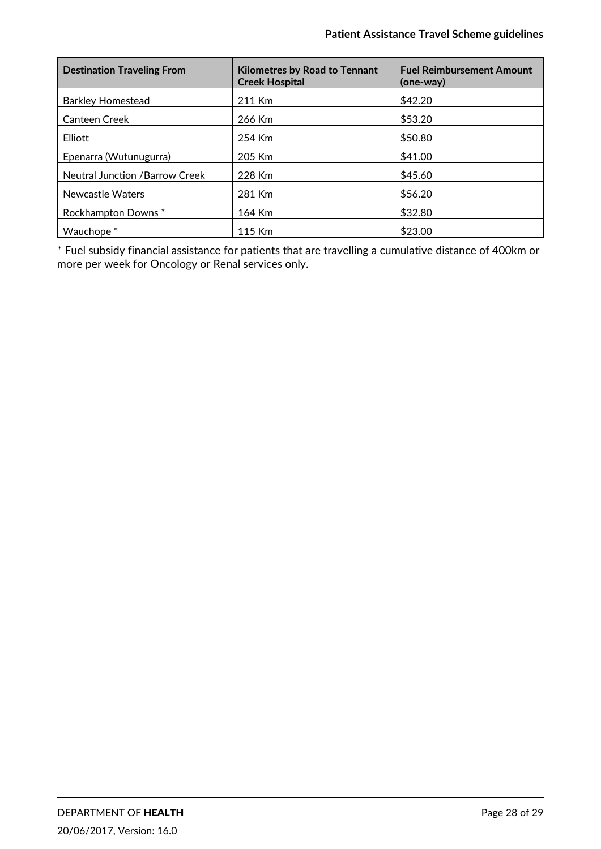| <b>Destination Traveling From</b>     | <b>Kilometres by Road to Tennant</b><br><b>Creek Hospital</b> | <b>Fuel Reimbursement Amount</b><br>(one-way) |
|---------------------------------------|---------------------------------------------------------------|-----------------------------------------------|
| <b>Barkley Homestead</b>              | 211 Km                                                        | \$42.20                                       |
| <b>Canteen Creek</b>                  | 266 Km                                                        | \$53.20                                       |
| Elliott                               | 254 Km                                                        | \$50.80                                       |
| Epenarra (Wutunugurra)                | 205 Km                                                        | \$41.00                                       |
| <b>Neutral Junction /Barrow Creek</b> | 228 Km                                                        | \$45.60                                       |
| Newcastle Waters                      | 281 Km                                                        | \$56.20                                       |
| Rockhampton Downs*                    | 164 Km                                                        | \$32.80                                       |
| Wauchope <sup>*</sup>                 | 115 Km                                                        | \$23.00                                       |